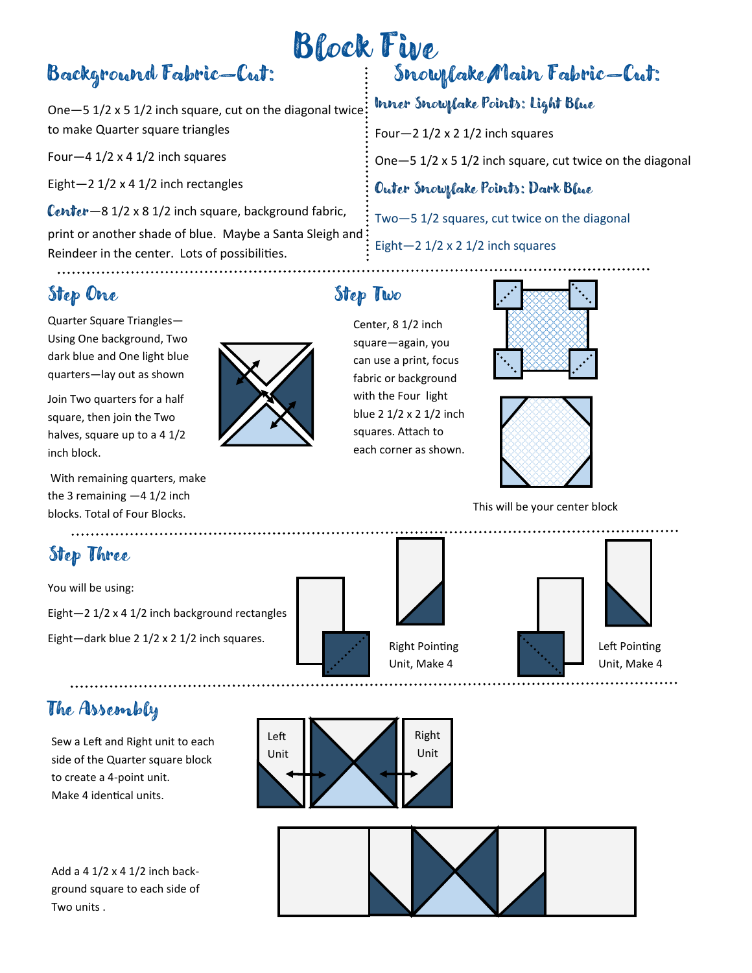# Background Fabric—Cut:

One—5 1/2 x 5 1/2 inch square, cut on the diagonal twice to make Quarter square triangles

Four-4  $1/2 \times 4$  1/2 inch squares

Eight $-2$  1/2 x 4 1/2 inch rectangles

Center-8 1/2 x 8 1/2 inch square, background fabric, print or another shade of blue. Maybe a Santa Sleigh and Reindeer in the center. Lots of possibilities.

## Step One Step Two

Quarter Square Triangles— Using One background, Two dark blue and One light blue quarters—lay out as shown

Join Two quarters for a half square, then join the Two halves, square up to a 4 1/2 inch block.

With remaining quarters, make the 3 remaining  $-4$  1/2 inch blocks. Total of Four Blocks.

# Step Three

You will be using: Eight—2 1/2 x 4 1/2 inch background rectangles Eight—dark blue 2 1/2 x 2 1/2 inch squares.

## The Assembly

Sew a Left and Right unit to each side of the Quarter square block to create a 4-point unit. Make 4 identical units.

Add a 4 1/2 x 4 1/2 inch background square to each side of Two units .

# Block Five Snowflake/Main Fabric—Cut:

### Inner Snowflake Points: Light Blue

Four—2 1/2 x 2 1/2 inch squares

One—5 1/2 x 5 1/2 inch square, cut twice on the diagonal

#### Outer Snowflake Points: Dark Blue

Two—5 1/2 squares, cut twice on the diagonal

Eight—2 1/2 x 2 1/2 inch squares

Center, 8 1/2 inch square—again, you can use a print, focus fabric or background with the Four light blue 2 1/2 x 2 1/2 inch squares. Attach to each corner as shown.





This will be your center block